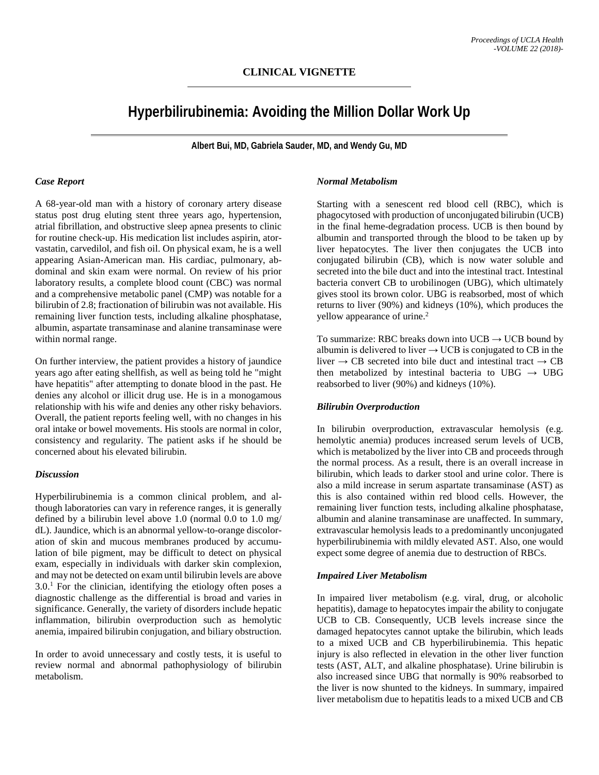## **CLINICAL VIGNETTE**

# **Hyperbilirubinemia: Avoiding the Million Dollar Work Up**

**Albert Bui, MD, Gabriela Sauder, MD, and Wendy Gu, MD**

#### *Case Report*

A 68-year-old man with a history of coronary artery disease status post drug eluting stent three years ago, hypertension, atrial fibrillation, and obstructive sleep apnea presents to clinic for routine check-up. His medication list includes aspirin, atorvastatin, carvedilol, and fish oil. On physical exam, he is a well appearing Asian-American man. His cardiac, pulmonary, abdominal and skin exam were normal. On review of his prior laboratory results, a complete blood count (CBC) was normal and a comprehensive metabolic panel (CMP) was notable for a bilirubin of 2.8; fractionation of bilirubin was not available. His remaining liver function tests, including alkaline phosphatase, albumin, aspartate transaminase and alanine transaminase were within normal range.

On further interview, the patient provides a history of jaundice years ago after eating shellfish, as well as being told he "might have hepatitis" after attempting to donate blood in the past. He denies any alcohol or illicit drug use. He is in a monogamous relationship with his wife and denies any other risky behaviors. Overall, the patient reports feeling well, with no changes in his oral intake or bowel movements. His stools are normal in color, consistency and regularity. The patient asks if he should be concerned about his elevated bilirubin.

#### *Discussion*

Hyperbilirubinemia is a common clinical problem, and although laboratories can vary in reference ranges, it is generally defined by a bilirubin level above 1.0 (normal 0.0 to 1.0 mg/ dL). Jaundice, which is an abnormal yellow-to-orange discoloration of skin and mucous membranes produced by accumulation of bile pigment, may be difficult to detect on physical exam, especially in individuals with darker skin complexion, and may not be detected on exam until bilirubin levels are above  $3.0<sup>1</sup>$  For the clinician, identifying the etiology often poses a diagnostic challenge as the differential is broad and varies in significance. Generally, the variety of disorders include hepatic inflammation, bilirubin overproduction such as hemolytic anemia, impaired bilirubin conjugation, and biliary obstruction.

In order to avoid unnecessary and costly tests, it is useful to review normal and abnormal pathophysiology of bilirubin metabolism.

## *Normal Metabolism*

Starting with a senescent red blood cell (RBC), which is phagocytosed with production of unconjugated bilirubin (UCB) in the final heme-degradation process. UCB is then bound by albumin and transported through the blood to be taken up by liver hepatocytes. The liver then conjugates the UCB into conjugated bilirubin (CB), which is now water soluble and secreted into the bile duct and into the intestinal tract. Intestinal bacteria convert CB to urobilinogen (UBG), which ultimately gives stool its brown color. UBG is reabsorbed, most of which returns to liver (90%) and kidneys (10%), which produces the yellow appearance of urine.<sup>2</sup>

To summarize: RBC breaks down into  $UCB \rightarrow UCB$  bound by albumin is delivered to liver  $\rightarrow$  UCB is conjugated to CB in the liver  $\rightarrow$  CB secreted into bile duct and intestinal tract  $\rightarrow$  CB then metabolized by intestinal bacteria to UBG  $\rightarrow$  UBG reabsorbed to liver (90%) and kidneys (10%).

## *Bilirubin Overproduction*

In bilirubin overproduction, extravascular hemolysis (e.g. hemolytic anemia) produces increased serum levels of UCB, which is metabolized by the liver into CB and proceeds through the normal process. As a result, there is an overall increase in bilirubin, which leads to darker stool and urine color. There is also a mild increase in serum aspartate transaminase (AST) as this is also contained within red blood cells. However, the remaining liver function tests, including alkaline phosphatase, albumin and alanine transaminase are unaffected. In summary, extravascular hemolysis leads to a predominantly unconjugated hyperbilirubinemia with mildly elevated AST. Also, one would expect some degree of anemia due to destruction of RBCs.

## *Impaired Liver Metabolism*

In impaired liver metabolism (e.g. viral, drug, or alcoholic hepatitis), damage to hepatocytes impair the ability to conjugate UCB to CB. Consequently, UCB levels increase since the damaged hepatocytes cannot uptake the bilirubin, which leads to a mixed UCB and CB hyperbilirubinemia. This hepatic injury is also reflected in elevation in the other liver function tests (AST, ALT, and alkaline phosphatase). Urine bilirubin is also increased since UBG that normally is 90% reabsorbed to the liver is now shunted to the kidneys. In summary, impaired liver metabolism due to hepatitis leads to a mixed UCB and CB